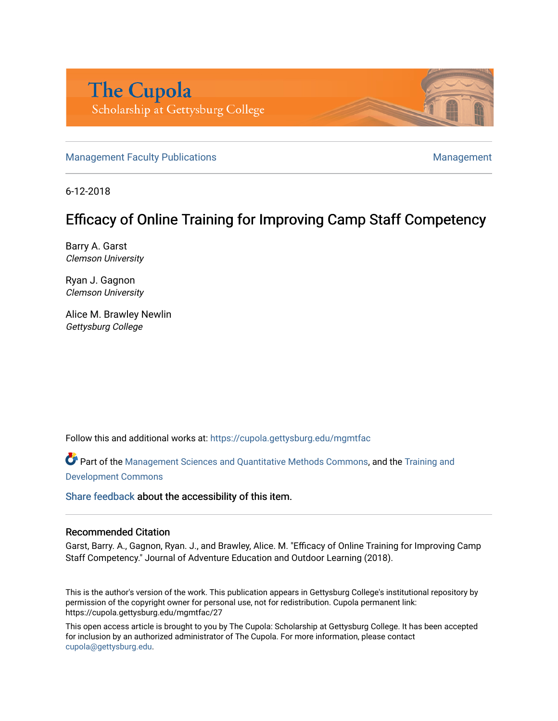

[Management Faculty Publications](https://cupola.gettysburg.edu/mgmtfac) [Management](https://cupola.gettysburg.edu/mgmt) Superintensity Publications Management

6-12-2018

# Efficacy of Online Training for Improving Camp Staff Competency

Barry A. Garst Clemson University

Ryan J. Gagnon Clemson University

Alice M. Brawley Newlin Gettysburg College

Follow this and additional works at: [https://cupola.gettysburg.edu/mgmtfac](https://cupola.gettysburg.edu/mgmtfac?utm_source=cupola.gettysburg.edu%2Fmgmtfac%2F27&utm_medium=PDF&utm_campaign=PDFCoverPages) 

Part of the [Management Sciences and Quantitative Methods Commons](http://network.bepress.com/hgg/discipline/637?utm_source=cupola.gettysburg.edu%2Fmgmtfac%2F27&utm_medium=PDF&utm_campaign=PDFCoverPages), and the [Training and](http://network.bepress.com/hgg/discipline/1257?utm_source=cupola.gettysburg.edu%2Fmgmtfac%2F27&utm_medium=PDF&utm_campaign=PDFCoverPages)  [Development Commons](http://network.bepress.com/hgg/discipline/1257?utm_source=cupola.gettysburg.edu%2Fmgmtfac%2F27&utm_medium=PDF&utm_campaign=PDFCoverPages) 

[Share feedback](https://docs.google.com/a/bepress.com/forms/d/1h9eEcpBPj5POs5oO6Y5A0blXRmZqykoonyYiZUNyEq8/viewform) about the accessibility of this item.

#### Recommended Citation

Garst, Barry. A., Gagnon, Ryan. J., and Brawley, Alice. M. "Efficacy of Online Training for Improving Camp Staff Competency." Journal of Adventure Education and Outdoor Learning (2018).

This is the author's version of the work. This publication appears in Gettysburg College's institutional repository by permission of the copyright owner for personal use, not for redistribution. Cupola permanent link: https://cupola.gettysburg.edu/mgmtfac/27

This open access article is brought to you by The Cupola: Scholarship at Gettysburg College. It has been accepted for inclusion by an authorized administrator of The Cupola. For more information, please contact [cupola@gettysburg.edu.](mailto:cupola@gettysburg.edu)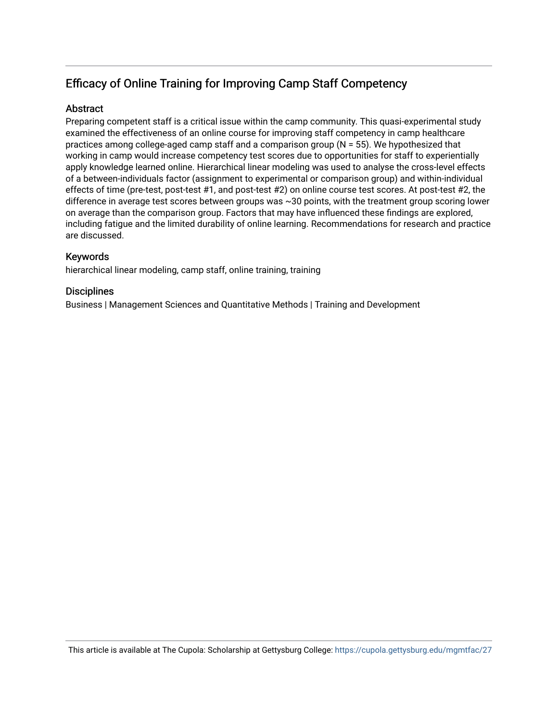# Efficacy of Online Training for Improving Camp Staff Competency

# **Abstract**

Preparing competent staff is a critical issue within the camp community. This quasi-experimental study examined the effectiveness of an online course for improving staff competency in camp healthcare practices among college-aged camp staff and a comparison group (N = 55). We hypothesized that working in camp would increase competency test scores due to opportunities for staff to experientially apply knowledge learned online. Hierarchical linear modeling was used to analyse the cross-level effects of a between-individuals factor (assignment to experimental or comparison group) and within-individual effects of time (pre-test, post-test #1, and post-test #2) on online course test scores. At post-test #2, the difference in average test scores between groups was ~30 points, with the treatment group scoring lower on average than the comparison group. Factors that may have influenced these findings are explored, including fatigue and the limited durability of online learning. Recommendations for research and practice are discussed.

# Keywords

hierarchical linear modeling, camp staff, online training, training

# **Disciplines**

Business | Management Sciences and Quantitative Methods | Training and Development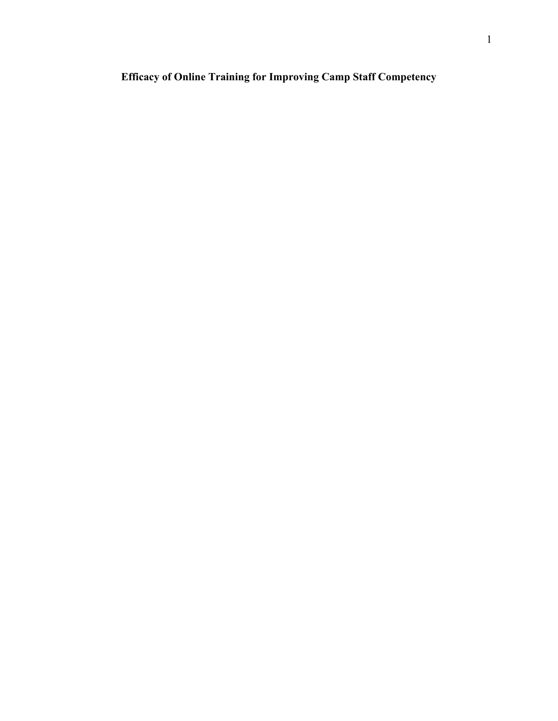# **Efficacy of Online Training for Improving Camp Staff Competency**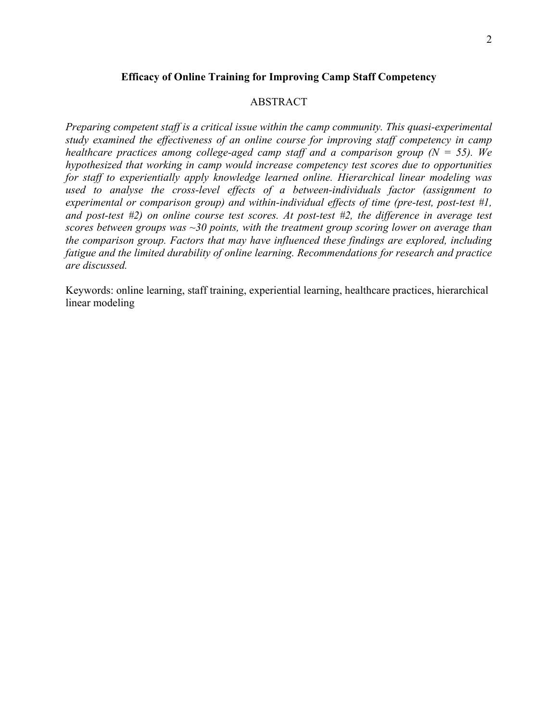#### **Efficacy of Online Training for Improving Camp Staff Competency**

# ABSTRACT

*Preparing competent staff is a critical issue within the camp community. This quasi-experimental study examined the effectiveness of an online course for improving staff competency in camp healthcare practices among college-aged camp staff and a comparison group (N = 55). We hypothesized that working in camp would increase competency test scores due to opportunities for staff to experientially apply knowledge learned online. Hierarchical linear modeling was used to analyse the cross-level effects of a between-individuals factor (assignment to experimental or comparison group) and within-individual effects of time (pre-test, post-test #1, and post-test #2) on online course test scores. At post-test #2, the difference in average test scores between groups was ~30 points, with the treatment group scoring lower on average than the comparison group. Factors that may have influenced these findings are explored, including fatigue and the limited durability of online learning. Recommendations for research and practice are discussed.* 

Keywords: online learning, staff training, experiential learning, healthcare practices, hierarchical linear modeling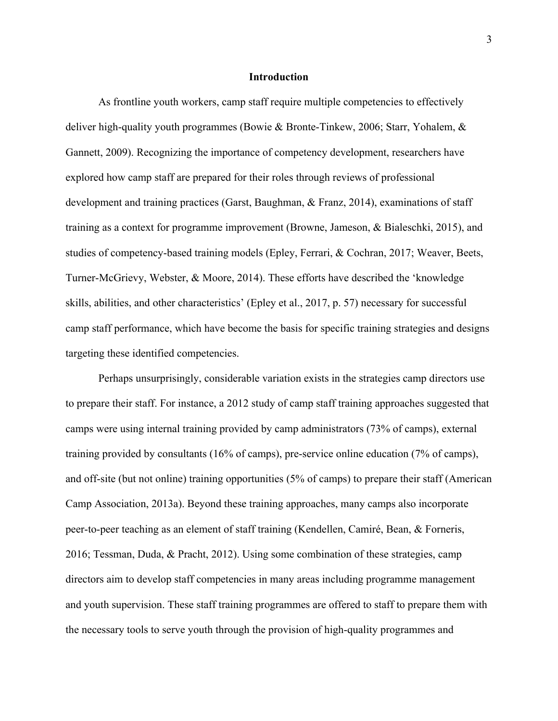#### **Introduction**

As frontline youth workers, camp staff require multiple competencies to effectively deliver high-quality youth programmes (Bowie & Bronte-Tinkew, 2006; Starr, Yohalem, & Gannett, 2009). Recognizing the importance of competency development, researchers have explored how camp staff are prepared for their roles through reviews of professional development and training practices (Garst, Baughman, & Franz, 2014), examinations of staff training as a context for programme improvement (Browne, Jameson, & Bialeschki, 2015), and studies of competency-based training models (Epley, Ferrari, & Cochran, 2017; Weaver, Beets, Turner-McGrievy, Webster, & Moore, 2014). These efforts have described the 'knowledge skills, abilities, and other characteristics' (Epley et al., 2017, p. 57) necessary for successful camp staff performance, which have become the basis for specific training strategies and designs targeting these identified competencies.

Perhaps unsurprisingly, considerable variation exists in the strategies camp directors use to prepare their staff. For instance, a 2012 study of camp staff training approaches suggested that camps were using internal training provided by camp administrators (73% of camps), external training provided by consultants (16% of camps), pre-service online education (7% of camps), and off-site (but not online) training opportunities (5% of camps) to prepare their staff (American Camp Association, 2013a). Beyond these training approaches, many camps also incorporate peer-to-peer teaching as an element of staff training (Kendellen, Camiré, Bean, & Forneris, 2016; Tessman, Duda, & Pracht, 2012). Using some combination of these strategies, camp directors aim to develop staff competencies in many areas including programme management and youth supervision. These staff training programmes are offered to staff to prepare them with the necessary tools to serve youth through the provision of high-quality programmes and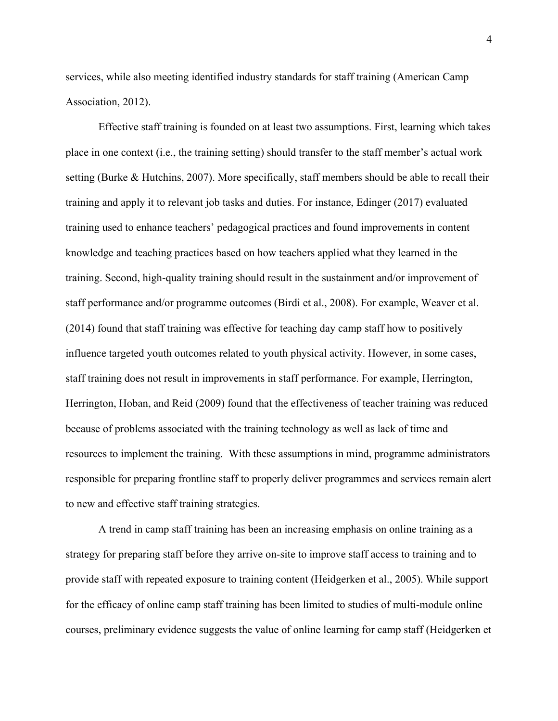services, while also meeting identified industry standards for staff training (American Camp Association, 2012).

Effective staff training is founded on at least two assumptions. First, learning which takes place in one context (i.e., the training setting) should transfer to the staff member's actual work setting (Burke & Hutchins, 2007). More specifically, staff members should be able to recall their training and apply it to relevant job tasks and duties. For instance, Edinger (2017) evaluated training used to enhance teachers' pedagogical practices and found improvements in content knowledge and teaching practices based on how teachers applied what they learned in the training. Second, high-quality training should result in the sustainment and/or improvement of staff performance and/or programme outcomes (Birdi et al., 2008). For example, Weaver et al. (2014) found that staff training was effective for teaching day camp staff how to positively influence targeted youth outcomes related to youth physical activity. However, in some cases, staff training does not result in improvements in staff performance. For example, Herrington, Herrington, Hoban, and Reid (2009) found that the effectiveness of teacher training was reduced because of problems associated with the training technology as well as lack of time and resources to implement the training. With these assumptions in mind, programme administrators responsible for preparing frontline staff to properly deliver programmes and services remain alert to new and effective staff training strategies.

A trend in camp staff training has been an increasing emphasis on online training as a strategy for preparing staff before they arrive on-site to improve staff access to training and to provide staff with repeated exposure to training content (Heidgerken et al., 2005). While support for the efficacy of online camp staff training has been limited to studies of multi-module online courses, preliminary evidence suggests the value of online learning for camp staff (Heidgerken et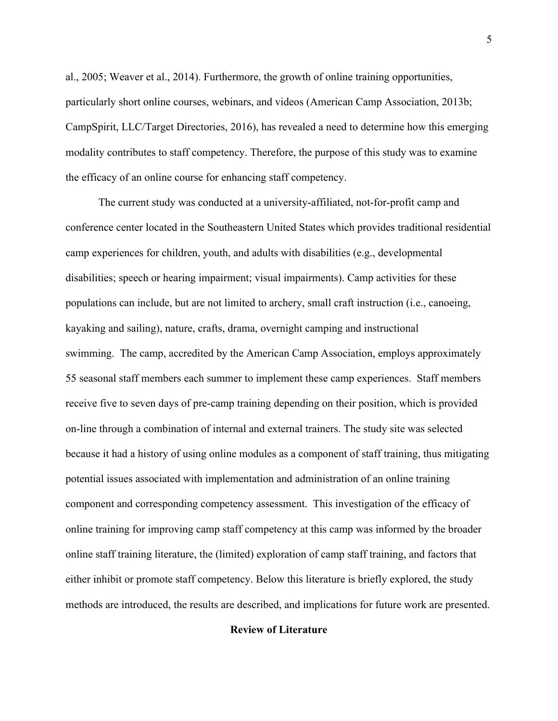al., 2005; Weaver et al., 2014). Furthermore, the growth of online training opportunities, particularly short online courses, webinars, and videos (American Camp Association, 2013b; CampSpirit, LLC/Target Directories, 2016), has revealed a need to determine how this emerging modality contributes to staff competency. Therefore, the purpose of this study was to examine the efficacy of an online course for enhancing staff competency.

The current study was conducted at a university-affiliated, not-for-profit camp and conference center located in the Southeastern United States which provides traditional residential camp experiences for children, youth, and adults with disabilities (e.g., developmental disabilities; speech or hearing impairment; visual impairments). Camp activities for these populations can include, but are not limited to archery, small craft instruction (i.e., canoeing, kayaking and sailing), nature, crafts, drama, overnight camping and instructional swimming. The camp, accredited by the American Camp Association, employs approximately 55 seasonal staff members each summer to implement these camp experiences. Staff members receive five to seven days of pre-camp training depending on their position, which is provided on-line through a combination of internal and external trainers. The study site was selected because it had a history of using online modules as a component of staff training, thus mitigating potential issues associated with implementation and administration of an online training component and corresponding competency assessment. This investigation of the efficacy of online training for improving camp staff competency at this camp was informed by the broader online staff training literature, the (limited) exploration of camp staff training, and factors that either inhibit or promote staff competency. Below this literature is briefly explored, the study methods are introduced, the results are described, and implications for future work are presented.

#### **Review of Literature**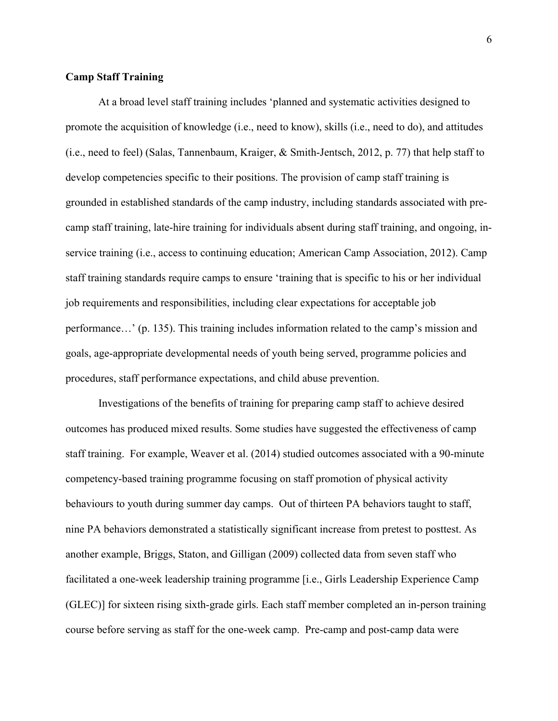## **Camp Staff Training**

At a broad level staff training includes 'planned and systematic activities designed to promote the acquisition of knowledge (i.e., need to know), skills (i.e., need to do), and attitudes (i.e., need to feel) (Salas, Tannenbaum, Kraiger, & Smith-Jentsch, 2012, p. 77) that help staff to develop competencies specific to their positions. The provision of camp staff training is grounded in established standards of the camp industry, including standards associated with precamp staff training, late-hire training for individuals absent during staff training, and ongoing, inservice training (i.e., access to continuing education; American Camp Association, 2012). Camp staff training standards require camps to ensure 'training that is specific to his or her individual job requirements and responsibilities, including clear expectations for acceptable job performance…' (p. 135). This training includes information related to the camp's mission and goals, age-appropriate developmental needs of youth being served, programme policies and procedures, staff performance expectations, and child abuse prevention.

Investigations of the benefits of training for preparing camp staff to achieve desired outcomes has produced mixed results. Some studies have suggested the effectiveness of camp staff training. For example, Weaver et al. (2014) studied outcomes associated with a 90-minute competency-based training programme focusing on staff promotion of physical activity behaviours to youth during summer day camps. Out of thirteen PA behaviors taught to staff, nine PA behaviors demonstrated a statistically significant increase from pretest to posttest. As another example, Briggs, Staton, and Gilligan (2009) collected data from seven staff who facilitated a one-week leadership training programme [i.e., Girls Leadership Experience Camp (GLEC)] for sixteen rising sixth-grade girls. Each staff member completed an in-person training course before serving as staff for the one-week camp. Pre-camp and post-camp data were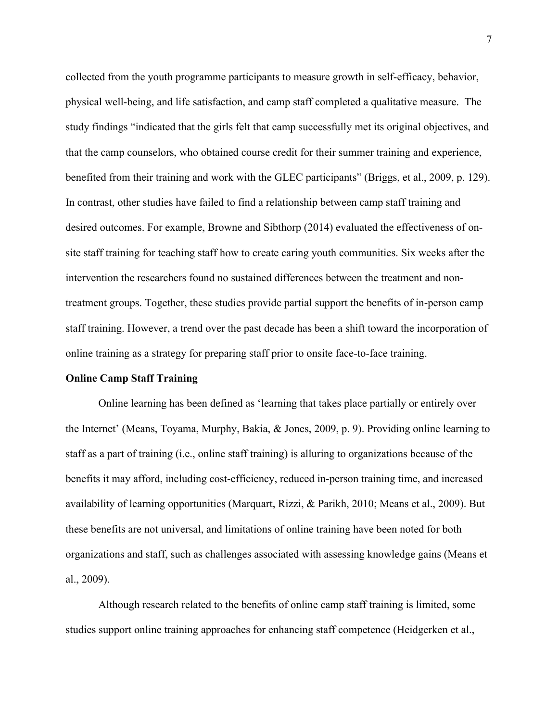collected from the youth programme participants to measure growth in self-efficacy, behavior, physical well-being, and life satisfaction, and camp staff completed a qualitative measure. The study findings "indicated that the girls felt that camp successfully met its original objectives, and that the camp counselors, who obtained course credit for their summer training and experience, benefited from their training and work with the GLEC participants" (Briggs, et al., 2009, p. 129). In contrast, other studies have failed to find a relationship between camp staff training and desired outcomes. For example, Browne and Sibthorp (2014) evaluated the effectiveness of onsite staff training for teaching staff how to create caring youth communities. Six weeks after the intervention the researchers found no sustained differences between the treatment and nontreatment groups. Together, these studies provide partial support the benefits of in-person camp staff training. However, a trend over the past decade has been a shift toward the incorporation of online training as a strategy for preparing staff prior to onsite face-to-face training.

## **Online Camp Staff Training**

Online learning has been defined as 'learning that takes place partially or entirely over the Internet' (Means, Toyama, Murphy, Bakia, & Jones, 2009, p. 9). Providing online learning to staff as a part of training (i.e., online staff training) is alluring to organizations because of the benefits it may afford, including cost-efficiency, reduced in-person training time, and increased availability of learning opportunities (Marquart, Rizzi, & Parikh, 2010; Means et al., 2009). But these benefits are not universal, and limitations of online training have been noted for both organizations and staff, such as challenges associated with assessing knowledge gains (Means et al., 2009).

Although research related to the benefits of online camp staff training is limited, some studies support online training approaches for enhancing staff competence (Heidgerken et al.,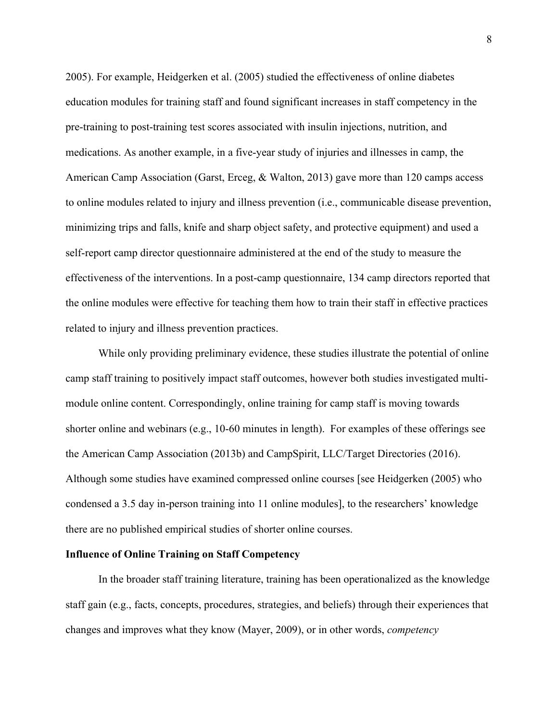2005). For example, Heidgerken et al. (2005) studied the effectiveness of online diabetes education modules for training staff and found significant increases in staff competency in the pre-training to post-training test scores associated with insulin injections, nutrition, and medications. As another example, in a five-year study of injuries and illnesses in camp, the American Camp Association (Garst, Erceg, & Walton, 2013) gave more than 120 camps access to online modules related to injury and illness prevention (i.e., communicable disease prevention, minimizing trips and falls, knife and sharp object safety, and protective equipment) and used a self-report camp director questionnaire administered at the end of the study to measure the effectiveness of the interventions. In a post-camp questionnaire, 134 camp directors reported that the online modules were effective for teaching them how to train their staff in effective practices related to injury and illness prevention practices.

While only providing preliminary evidence, these studies illustrate the potential of online camp staff training to positively impact staff outcomes, however both studies investigated multimodule online content. Correspondingly, online training for camp staff is moving towards shorter online and webinars (e.g., 10-60 minutes in length). For examples of these offerings see the American Camp Association (2013b) and CampSpirit, LLC/Target Directories (2016). Although some studies have examined compressed online courses [see Heidgerken (2005) who condensed a 3.5 day in-person training into 11 online modules], to the researchers' knowledge there are no published empirical studies of shorter online courses.

#### **Influence of Online Training on Staff Competency**

In the broader staff training literature, training has been operationalized as the knowledge staff gain (e.g., facts, concepts, procedures, strategies, and beliefs) through their experiences that changes and improves what they know (Mayer, 2009), or in other words, *competency*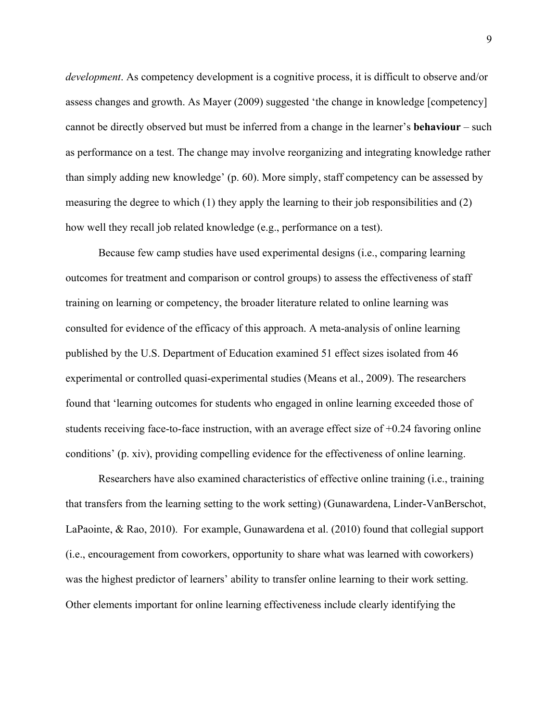*development*. As competency development is a cognitive process, it is difficult to observe and/or assess changes and growth. As Mayer (2009) suggested 'the change in knowledge [competency] cannot be directly observed but must be inferred from a change in the learner's **behaviour** – such as performance on a test. The change may involve reorganizing and integrating knowledge rather than simply adding new knowledge' (p. 60). More simply, staff competency can be assessed by measuring the degree to which (1) they apply the learning to their job responsibilities and (2) how well they recall job related knowledge (e.g., performance on a test).

Because few camp studies have used experimental designs (i.e., comparing learning outcomes for treatment and comparison or control groups) to assess the effectiveness of staff training on learning or competency, the broader literature related to online learning was consulted for evidence of the efficacy of this approach. A meta-analysis of online learning published by the U.S. Department of Education examined 51 effect sizes isolated from 46 experimental or controlled quasi-experimental studies (Means et al., 2009). The researchers found that 'learning outcomes for students who engaged in online learning exceeded those of students receiving face-to-face instruction, with an average effect size of +0.24 favoring online conditions' (p. xiv), providing compelling evidence for the effectiveness of online learning.

Researchers have also examined characteristics of effective online training (i.e., training that transfers from the learning setting to the work setting) (Gunawardena, Linder-VanBerschot, LaPaointe, & Rao, 2010). For example, Gunawardena et al. (2010) found that collegial support (i.e., encouragement from coworkers, opportunity to share what was learned with coworkers) was the highest predictor of learners' ability to transfer online learning to their work setting. Other elements important for online learning effectiveness include clearly identifying the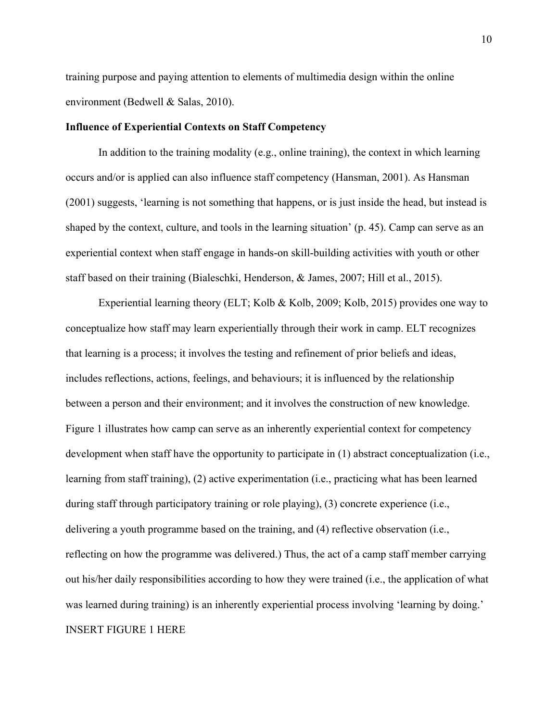training purpose and paying attention to elements of multimedia design within the online environment (Bedwell & Salas, 2010).

#### **Influence of Experiential Contexts on Staff Competency**

In addition to the training modality (e.g., online training), the context in which learning occurs and/or is applied can also influence staff competency (Hansman, 2001). As Hansman (2001) suggests, 'learning is not something that happens, or is just inside the head, but instead is shaped by the context, culture, and tools in the learning situation' (p. 45). Camp can serve as an experiential context when staff engage in hands-on skill-building activities with youth or other staff based on their training (Bialeschki, Henderson, & James, 2007; Hill et al., 2015).

Experiential learning theory (ELT; Kolb & Kolb, 2009; Kolb, 2015) provides one way to conceptualize how staff may learn experientially through their work in camp. ELT recognizes that learning is a process; it involves the testing and refinement of prior beliefs and ideas, includes reflections, actions, feelings, and behaviours; it is influenced by the relationship between a person and their environment; and it involves the construction of new knowledge. Figure 1 illustrates how camp can serve as an inherently experiential context for competency development when staff have the opportunity to participate in (1) abstract conceptualization (i.e., learning from staff training), (2) active experimentation (i.e., practicing what has been learned during staff through participatory training or role playing), (3) concrete experience (i.e., delivering a youth programme based on the training, and (4) reflective observation (i.e., reflecting on how the programme was delivered.) Thus, the act of a camp staff member carrying out his/her daily responsibilities according to how they were trained (i.e., the application of what was learned during training) is an inherently experiential process involving 'learning by doing.' INSERT FIGURE 1 HERE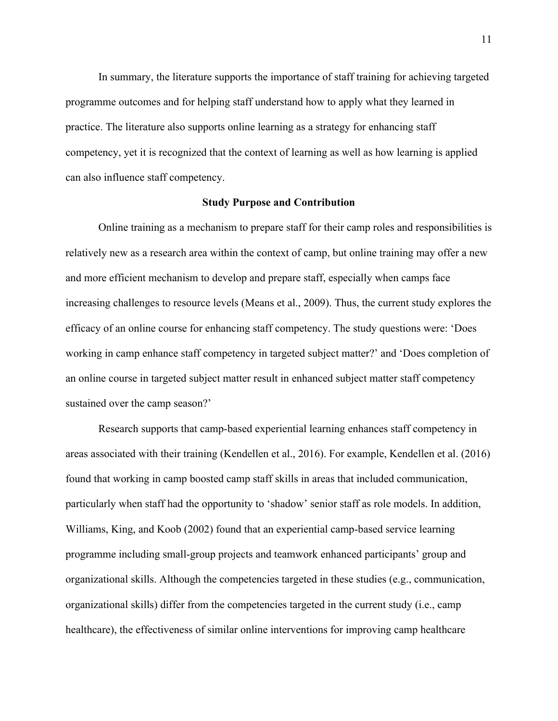In summary, the literature supports the importance of staff training for achieving targeted programme outcomes and for helping staff understand how to apply what they learned in practice. The literature also supports online learning as a strategy for enhancing staff competency, yet it is recognized that the context of learning as well as how learning is applied can also influence staff competency.

#### **Study Purpose and Contribution**

Online training as a mechanism to prepare staff for their camp roles and responsibilities is relatively new as a research area within the context of camp, but online training may offer a new and more efficient mechanism to develop and prepare staff, especially when camps face increasing challenges to resource levels (Means et al., 2009). Thus, the current study explores the efficacy of an online course for enhancing staff competency. The study questions were: 'Does working in camp enhance staff competency in targeted subject matter?' and 'Does completion of an online course in targeted subject matter result in enhanced subject matter staff competency sustained over the camp season?'

Research supports that camp-based experiential learning enhances staff competency in areas associated with their training (Kendellen et al., 2016). For example, Kendellen et al. (2016) found that working in camp boosted camp staff skills in areas that included communication, particularly when staff had the opportunity to 'shadow' senior staff as role models. In addition, Williams, King, and Koob (2002) found that an experiential camp-based service learning programme including small-group projects and teamwork enhanced participants' group and organizational skills. Although the competencies targeted in these studies (e.g., communication, organizational skills) differ from the competencies targeted in the current study (i.e., camp healthcare), the effectiveness of similar online interventions for improving camp healthcare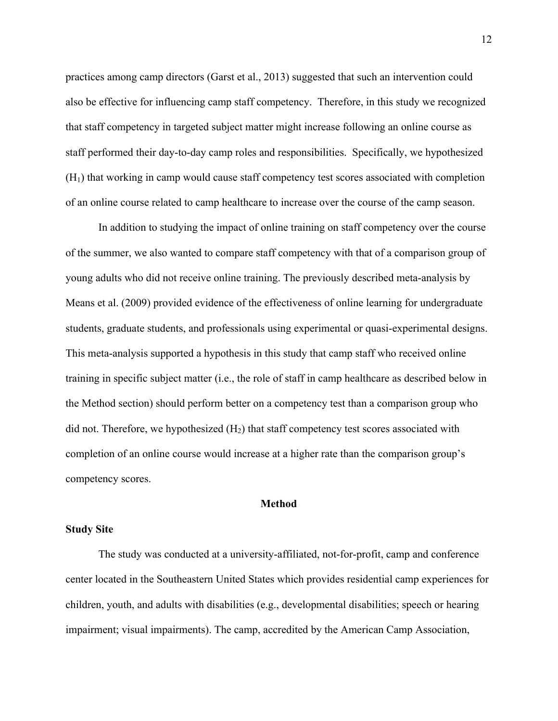practices among camp directors (Garst et al., 2013) suggested that such an intervention could also be effective for influencing camp staff competency. Therefore, in this study we recognized that staff competency in targeted subject matter might increase following an online course as staff performed their day-to-day camp roles and responsibilities. Specifically, we hypothesized  $(H<sub>1</sub>)$  that working in camp would cause staff competency test scores associated with completion of an online course related to camp healthcare to increase over the course of the camp season.

In addition to studying the impact of online training on staff competency over the course of the summer, we also wanted to compare staff competency with that of a comparison group of young adults who did not receive online training. The previously described meta-analysis by Means et al. (2009) provided evidence of the effectiveness of online learning for undergraduate students, graduate students, and professionals using experimental or quasi-experimental designs. This meta-analysis supported a hypothesis in this study that camp staff who received online training in specific subject matter (i.e., the role of staff in camp healthcare as described below in the Method section) should perform better on a competency test than a comparison group who did not. Therefore, we hypothesized  $(H<sub>2</sub>)$  that staff competency test scores associated with completion of an online course would increase at a higher rate than the comparison group's competency scores.

#### **Method**

#### **Study Site**

The study was conducted at a university-affiliated, not-for-profit, camp and conference center located in the Southeastern United States which provides residential camp experiences for children, youth, and adults with disabilities (e.g., developmental disabilities; speech or hearing impairment; visual impairments). The camp, accredited by the American Camp Association,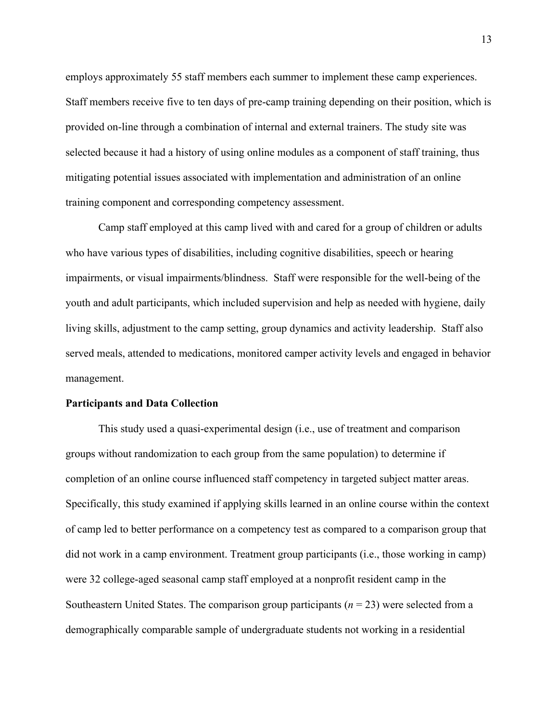employs approximately 55 staff members each summer to implement these camp experiences. Staff members receive five to ten days of pre-camp training depending on their position, which is provided on-line through a combination of internal and external trainers. The study site was selected because it had a history of using online modules as a component of staff training, thus mitigating potential issues associated with implementation and administration of an online training component and corresponding competency assessment.

Camp staff employed at this camp lived with and cared for a group of children or adults who have various types of disabilities, including cognitive disabilities, speech or hearing impairments, or visual impairments/blindness. Staff were responsible for the well-being of the youth and adult participants, which included supervision and help as needed with hygiene, daily living skills, adjustment to the camp setting, group dynamics and activity leadership. Staff also served meals, attended to medications, monitored camper activity levels and engaged in behavior management.

## **Participants and Data Collection**

This study used a quasi-experimental design (i.e., use of treatment and comparison groups without randomization to each group from the same population) to determine if completion of an online course influenced staff competency in targeted subject matter areas. Specifically, this study examined if applying skills learned in an online course within the context of camp led to better performance on a competency test as compared to a comparison group that did not work in a camp environment. Treatment group participants (i.e., those working in camp) were 32 college-aged seasonal camp staff employed at a nonprofit resident camp in the Southeastern United States. The comparison group participants (*n* = 23) were selected from a demographically comparable sample of undergraduate students not working in a residential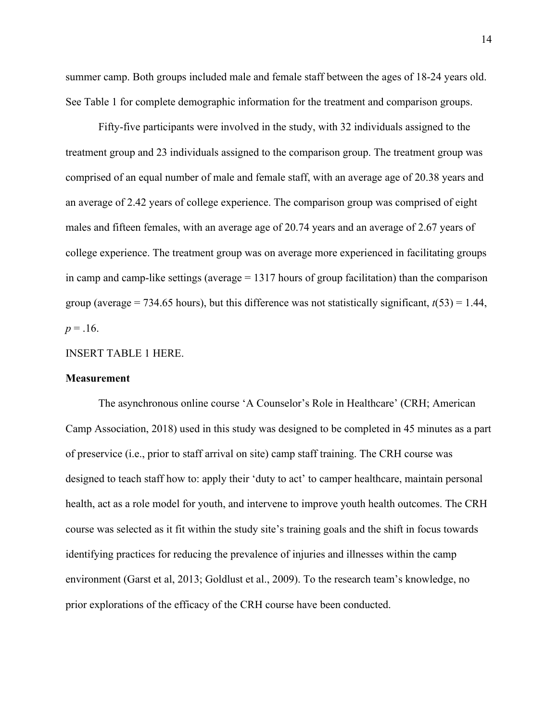summer camp. Both groups included male and female staff between the ages of 18-24 years old. See Table 1 for complete demographic information for the treatment and comparison groups.

Fifty-five participants were involved in the study, with 32 individuals assigned to the treatment group and 23 individuals assigned to the comparison group. The treatment group was comprised of an equal number of male and female staff, with an average age of 20.38 years and an average of 2.42 years of college experience. The comparison group was comprised of eight males and fifteen females, with an average age of 20.74 years and an average of 2.67 years of college experience. The treatment group was on average more experienced in facilitating groups in camp and camp-like settings (average = 1317 hours of group facilitation) than the comparison group (average  $= 734.65$  hours), but this difference was not statistically significant,  $t(53) = 1.44$ ,  $p = 0.16$ .

#### INSERT TABLE 1 HERE.

#### **Measurement**

The asynchronous online course 'A Counselor's Role in Healthcare' (CRH; American Camp Association, 2018) used in this study was designed to be completed in 45 minutes as a part of preservice (i.e., prior to staff arrival on site) camp staff training. The CRH course was designed to teach staff how to: apply their 'duty to act' to camper healthcare, maintain personal health, act as a role model for youth, and intervene to improve youth health outcomes. The CRH course was selected as it fit within the study site's training goals and the shift in focus towards identifying practices for reducing the prevalence of injuries and illnesses within the camp environment (Garst et al, 2013; Goldlust et al., 2009). To the research team's knowledge, no prior explorations of the efficacy of the CRH course have been conducted.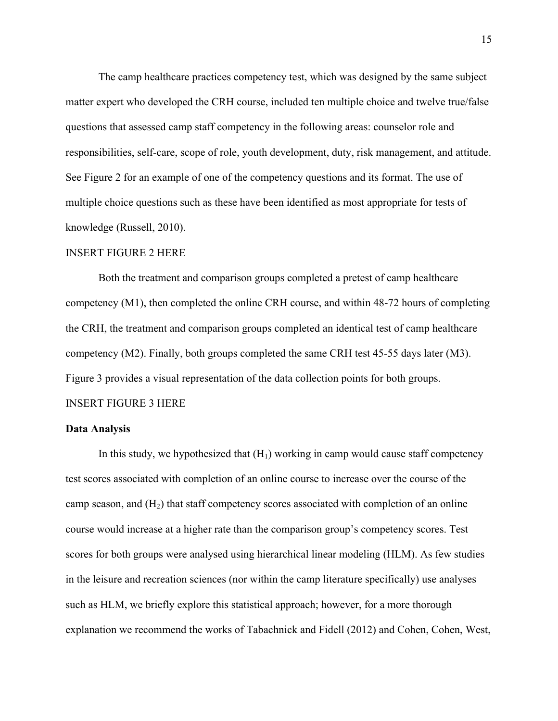The camp healthcare practices competency test, which was designed by the same subject matter expert who developed the CRH course, included ten multiple choice and twelve true/false questions that assessed camp staff competency in the following areas: counselor role and responsibilities, self-care, scope of role, youth development, duty, risk management, and attitude. See Figure 2 for an example of one of the competency questions and its format. The use of multiple choice questions such as these have been identified as most appropriate for tests of knowledge (Russell, 2010).

#### INSERT FIGURE 2 HERE

Both the treatment and comparison groups completed a pretest of camp healthcare competency (M1), then completed the online CRH course, and within 48-72 hours of completing the CRH, the treatment and comparison groups completed an identical test of camp healthcare competency (M2). Finally, both groups completed the same CRH test 45-55 days later (M3). Figure 3 provides a visual representation of the data collection points for both groups.

# INSERT FIGURE 3 HERE

#### **Data Analysis**

In this study, we hypothesized that  $(H<sub>1</sub>)$  working in camp would cause staff competency test scores associated with completion of an online course to increase over the course of the camp season, and  $(H<sub>2</sub>)$  that staff competency scores associated with completion of an online course would increase at a higher rate than the comparison group's competency scores. Test scores for both groups were analysed using hierarchical linear modeling (HLM). As few studies in the leisure and recreation sciences (nor within the camp literature specifically) use analyses such as HLM, we briefly explore this statistical approach; however, for a more thorough explanation we recommend the works of Tabachnick and Fidell (2012) and Cohen, Cohen, West,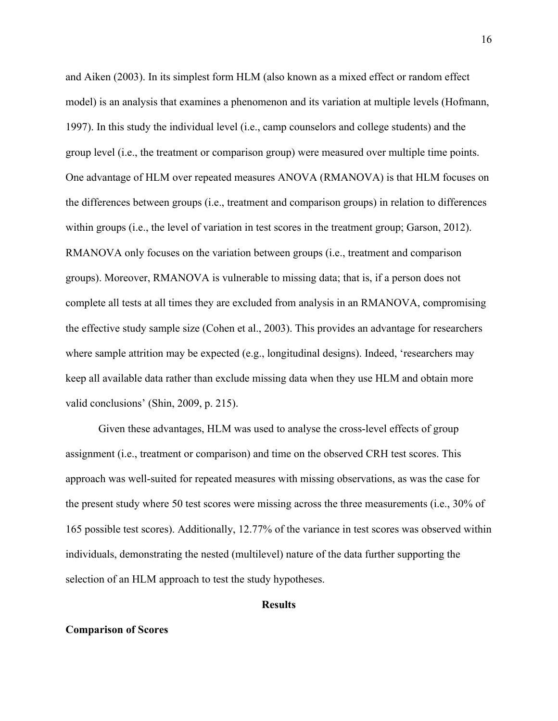and Aiken (2003). In its simplest form HLM (also known as a mixed effect or random effect model) is an analysis that examines a phenomenon and its variation at multiple levels (Hofmann, 1997). In this study the individual level (i.e., camp counselors and college students) and the group level (i.e., the treatment or comparison group) were measured over multiple time points. One advantage of HLM over repeated measures ANOVA (RMANOVA) is that HLM focuses on the differences between groups (i.e., treatment and comparison groups) in relation to differences within groups (i.e., the level of variation in test scores in the treatment group; Garson, 2012). RMANOVA only focuses on the variation between groups (i.e., treatment and comparison groups). Moreover, RMANOVA is vulnerable to missing data; that is, if a person does not complete all tests at all times they are excluded from analysis in an RMANOVA, compromising the effective study sample size (Cohen et al., 2003). This provides an advantage for researchers where sample attrition may be expected (e.g., longitudinal designs). Indeed, 'researchers may keep all available data rather than exclude missing data when they use HLM and obtain more valid conclusions' (Shin, 2009, p. 215).

Given these advantages, HLM was used to analyse the cross-level effects of group assignment (i.e., treatment or comparison) and time on the observed CRH test scores. This approach was well-suited for repeated measures with missing observations, as was the case for the present study where 50 test scores were missing across the three measurements (i.e., 30% of 165 possible test scores). Additionally, 12.77% of the variance in test scores was observed within individuals, demonstrating the nested (multilevel) nature of the data further supporting the selection of an HLM approach to test the study hypotheses.

#### **Results**

#### **Comparison of Scores**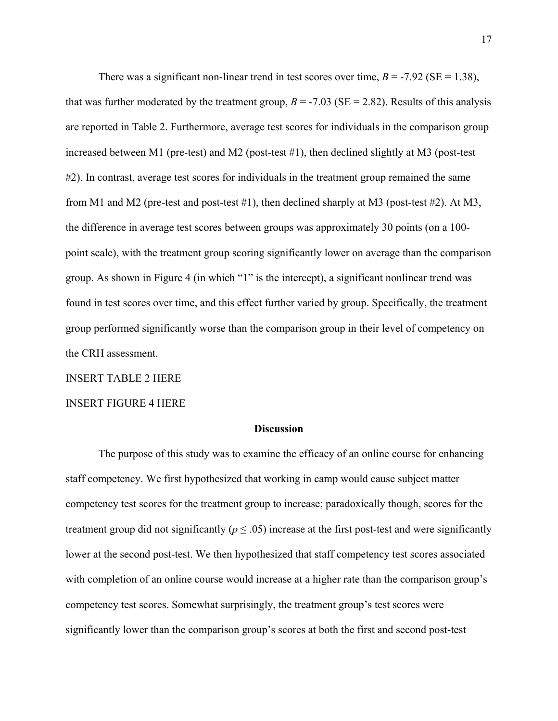There was a significant non-linear trend in test scores over time,  $B = -7.92$  ( $SE = 1.38$ ), that was further moderated by the treatment group,  $B = -7.03$  (SE = 2.82). Results of this analysis are reported in Table 2. Furthermore, average test scores for individuals in the comparison group increased between M1 (pre-test) and M2 (post-test #1), then declined slightly at M3 (post-test #2). In contrast, average test scores for individuals in the treatment group remained the same from M1 and M2 (pre-test and post-test  $\#1$ ), then declined sharply at M3 (post-test  $\#2$ ). At M3, the difference in average test scores between groups was approximately 30 points (on a 100 point scale), with the treatment group scoring significantly lower on average than the comparison group. As shown in Figure 4 (in which "1" is the intercept), a significant nonlinear trend was found in test scores over time, and this effect further varied by group. Specifically, the treatment group performed significantly worse than the comparison group in their level of competency on the CRH assessment.

INSERT TABLE 2 HERE

INSERT FIGURE 4 HERE

#### **Discussion**

The purpose of this study was to examine the efficacy of an online course for enhancing staff competency. We first hypothesized that working in camp would cause subject matter competency test scores for the treatment group to increase; paradoxically though, scores for the treatment group did not significantly ( $p \leq .05$ ) increase at the first post-test and were significantly lower at the second post-test. We then hypothesized that staff competency test scores associated with completion of an online course would increase at a higher rate than the comparison group's competency test scores. Somewhat surprisingly, the treatment group's test scores were significantly lower than the comparison group's scores at both the first and second post-test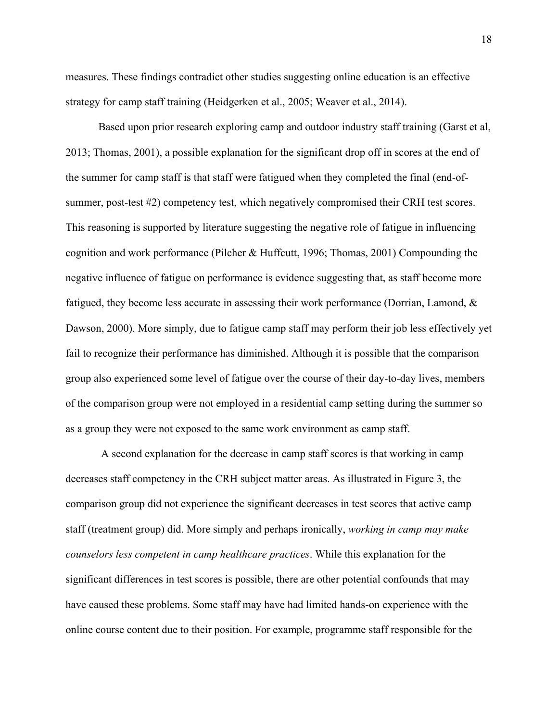measures. These findings contradict other studies suggesting online education is an effective strategy for camp staff training (Heidgerken et al., 2005; Weaver et al., 2014).

Based upon prior research exploring camp and outdoor industry staff training (Garst et al, 2013; Thomas, 2001), a possible explanation for the significant drop off in scores at the end of the summer for camp staff is that staff were fatigued when they completed the final (end-ofsummer, post-test #2) competency test, which negatively compromised their CRH test scores. This reasoning is supported by literature suggesting the negative role of fatigue in influencing cognition and work performance (Pilcher & Huffcutt, 1996; Thomas, 2001) Compounding the negative influence of fatigue on performance is evidence suggesting that, as staff become more fatigued, they become less accurate in assessing their work performance (Dorrian, Lamond, & Dawson, 2000). More simply, due to fatigue camp staff may perform their job less effectively yet fail to recognize their performance has diminished. Although it is possible that the comparison group also experienced some level of fatigue over the course of their day-to-day lives, members of the comparison group were not employed in a residential camp setting during the summer so as a group they were not exposed to the same work environment as camp staff.

A second explanation for the decrease in camp staff scores is that working in camp decreases staff competency in the CRH subject matter areas. As illustrated in Figure 3, the comparison group did not experience the significant decreases in test scores that active camp staff (treatment group) did. More simply and perhaps ironically, *working in camp may make counselors less competent in camp healthcare practices*. While this explanation for the significant differences in test scores is possible, there are other potential confounds that may have caused these problems. Some staff may have had limited hands-on experience with the online course content due to their position. For example, programme staff responsible for the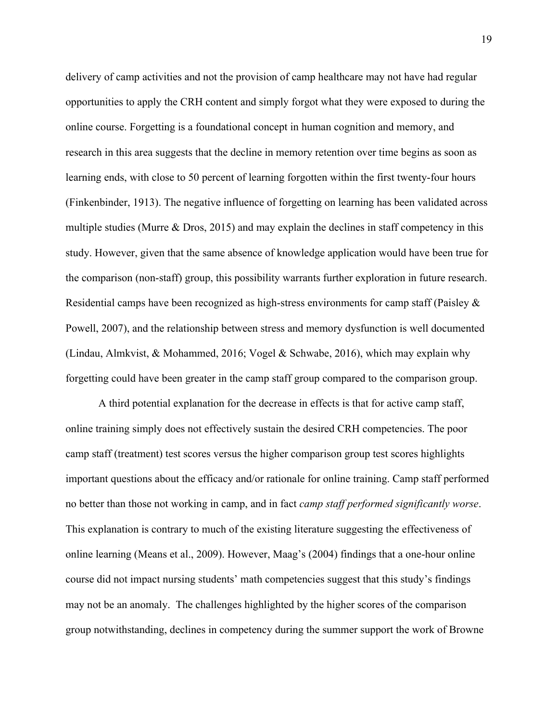delivery of camp activities and not the provision of camp healthcare may not have had regular opportunities to apply the CRH content and simply forgot what they were exposed to during the online course. Forgetting is a foundational concept in human cognition and memory, and research in this area suggests that the decline in memory retention over time begins as soon as learning ends, with close to 50 percent of learning forgotten within the first twenty-four hours (Finkenbinder, 1913). The negative influence of forgetting on learning has been validated across multiple studies (Murre & Dros, 2015) and may explain the declines in staff competency in this study. However, given that the same absence of knowledge application would have been true for the comparison (non-staff) group, this possibility warrants further exploration in future research. Residential camps have been recognized as high-stress environments for camp staff (Paisley & Powell, 2007), and the relationship between stress and memory dysfunction is well documented (Lindau, Almkvist, & Mohammed, 2016; Vogel & Schwabe, 2016), which may explain why forgetting could have been greater in the camp staff group compared to the comparison group.

A third potential explanation for the decrease in effects is that for active camp staff, online training simply does not effectively sustain the desired CRH competencies. The poor camp staff (treatment) test scores versus the higher comparison group test scores highlights important questions about the efficacy and/or rationale for online training. Camp staff performed no better than those not working in camp, and in fact *camp staff performed significantly worse*. This explanation is contrary to much of the existing literature suggesting the effectiveness of online learning (Means et al., 2009). However, Maag's (2004) findings that a one-hour online course did not impact nursing students' math competencies suggest that this study's findings may not be an anomaly. The challenges highlighted by the higher scores of the comparison group notwithstanding, declines in competency during the summer support the work of Browne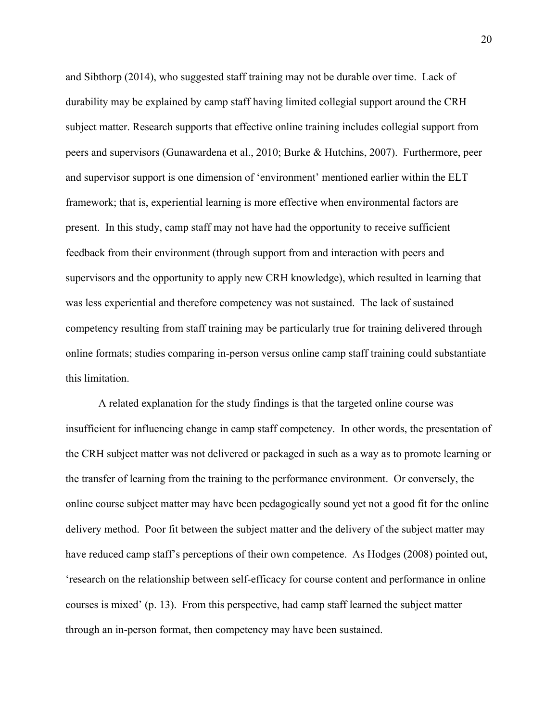and Sibthorp (2014), who suggested staff training may not be durable over time. Lack of durability may be explained by camp staff having limited collegial support around the CRH subject matter. Research supports that effective online training includes collegial support from peers and supervisors (Gunawardena et al., 2010; Burke & Hutchins, 2007). Furthermore, peer and supervisor support is one dimension of 'environment' mentioned earlier within the ELT framework; that is, experiential learning is more effective when environmental factors are present. In this study, camp staff may not have had the opportunity to receive sufficient feedback from their environment (through support from and interaction with peers and supervisors and the opportunity to apply new CRH knowledge), which resulted in learning that was less experiential and therefore competency was not sustained. The lack of sustained competency resulting from staff training may be particularly true for training delivered through online formats; studies comparing in-person versus online camp staff training could substantiate this limitation.

A related explanation for the study findings is that the targeted online course was insufficient for influencing change in camp staff competency. In other words, the presentation of the CRH subject matter was not delivered or packaged in such as a way as to promote learning or the transfer of learning from the training to the performance environment. Or conversely, the online course subject matter may have been pedagogically sound yet not a good fit for the online delivery method. Poor fit between the subject matter and the delivery of the subject matter may have reduced camp staff's perceptions of their own competence. As Hodges (2008) pointed out, 'research on the relationship between self-efficacy for course content and performance in online courses is mixed' (p. 13). From this perspective, had camp staff learned the subject matter through an in-person format, then competency may have been sustained.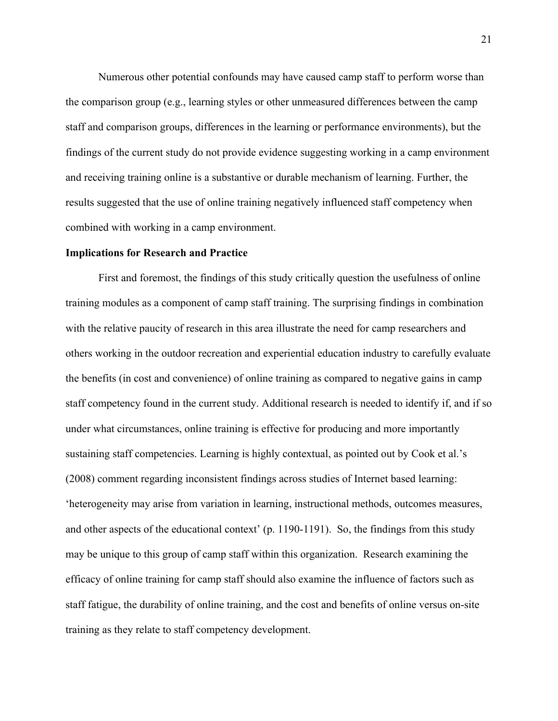Numerous other potential confounds may have caused camp staff to perform worse than the comparison group (e.g., learning styles or other unmeasured differences between the camp staff and comparison groups, differences in the learning or performance environments), but the findings of the current study do not provide evidence suggesting working in a camp environment and receiving training online is a substantive or durable mechanism of learning. Further, the results suggested that the use of online training negatively influenced staff competency when combined with working in a camp environment.

#### **Implications for Research and Practice**

First and foremost, the findings of this study critically question the usefulness of online training modules as a component of camp staff training. The surprising findings in combination with the relative paucity of research in this area illustrate the need for camp researchers and others working in the outdoor recreation and experiential education industry to carefully evaluate the benefits (in cost and convenience) of online training as compared to negative gains in camp staff competency found in the current study. Additional research is needed to identify if, and if so under what circumstances, online training is effective for producing and more importantly sustaining staff competencies. Learning is highly contextual, as pointed out by Cook et al.'s (2008) comment regarding inconsistent findings across studies of Internet based learning: 'heterogeneity may arise from variation in learning, instructional methods, outcomes measures, and other aspects of the educational context' (p. 1190-1191). So, the findings from this study may be unique to this group of camp staff within this organization. Research examining the efficacy of online training for camp staff should also examine the influence of factors such as staff fatigue, the durability of online training, and the cost and benefits of online versus on-site training as they relate to staff competency development.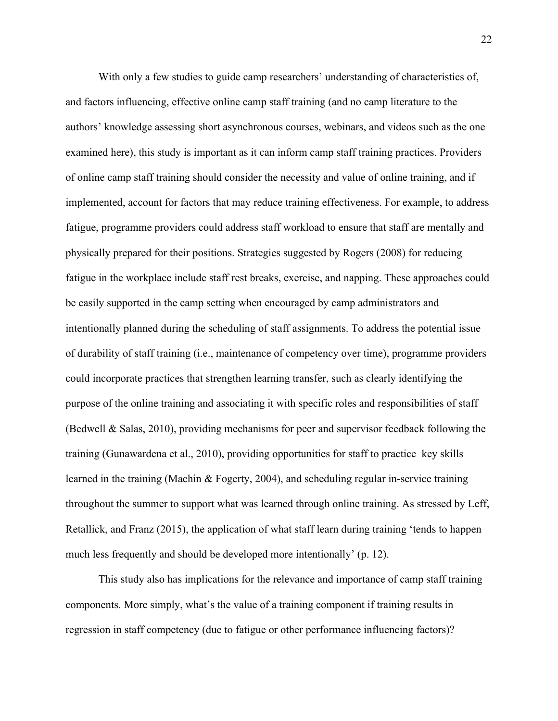With only a few studies to guide camp researchers' understanding of characteristics of, and factors influencing, effective online camp staff training (and no camp literature to the authors' knowledge assessing short asynchronous courses, webinars, and videos such as the one examined here), this study is important as it can inform camp staff training practices. Providers of online camp staff training should consider the necessity and value of online training, and if implemented, account for factors that may reduce training effectiveness. For example, to address fatigue, programme providers could address staff workload to ensure that staff are mentally and physically prepared for their positions. Strategies suggested by Rogers (2008) for reducing fatigue in the workplace include staff rest breaks, exercise, and napping. These approaches could be easily supported in the camp setting when encouraged by camp administrators and intentionally planned during the scheduling of staff assignments. To address the potential issue of durability of staff training (i.e., maintenance of competency over time), programme providers could incorporate practices that strengthen learning transfer, such as clearly identifying the purpose of the online training and associating it with specific roles and responsibilities of staff (Bedwell & Salas, 2010), providing mechanisms for peer and supervisor feedback following the training (Gunawardena et al., 2010), providing opportunities for staff to practice key skills learned in the training (Machin & Fogerty, 2004), and scheduling regular in-service training throughout the summer to support what was learned through online training. As stressed by Leff, Retallick, and Franz (2015), the application of what staff learn during training 'tends to happen much less frequently and should be developed more intentionally' (p. 12).

This study also has implications for the relevance and importance of camp staff training components. More simply, what's the value of a training component if training results in regression in staff competency (due to fatigue or other performance influencing factors)?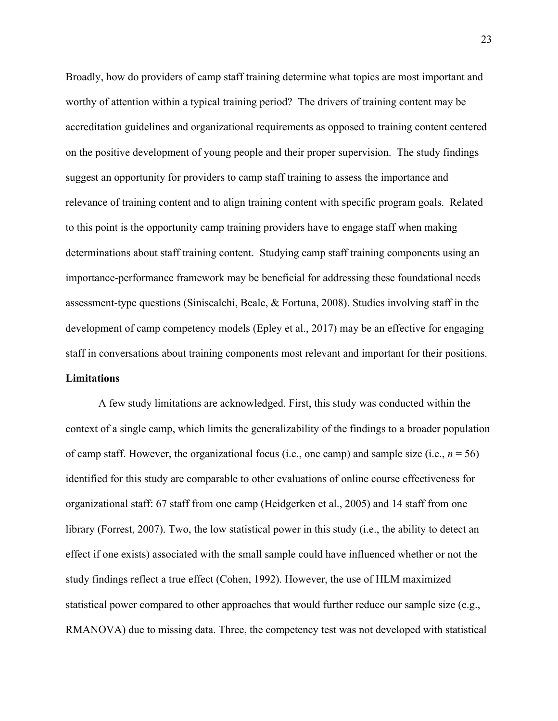Broadly, how do providers of camp staff training determine what topics are most important and worthy of attention within a typical training period? The drivers of training content may be accreditation guidelines and organizational requirements as opposed to training content centered on the positive development of young people and their proper supervision. The study findings suggest an opportunity for providers to camp staff training to assess the importance and relevance of training content and to align training content with specific program goals. Related to this point is the opportunity camp training providers have to engage staff when making determinations about staff training content. Studying camp staff training components using an importance-performance framework may be beneficial for addressing these foundational needs assessment-type questions (Siniscalchi, Beale, & Fortuna, 2008). Studies involving staff in the development of camp competency models (Epley et al., 2017) may be an effective for engaging staff in conversations about training components most relevant and important for their positions. **Limitations**

A few study limitations are acknowledged. First, this study was conducted within the context of a single camp, which limits the generalizability of the findings to a broader population of camp staff. However, the organizational focus (i.e., one camp) and sample size (i.e.,  $n = 56$ ) identified for this study are comparable to other evaluations of online course effectiveness for organizational staff: 67 staff from one camp (Heidgerken et al., 2005) and 14 staff from one library (Forrest, 2007). Two, the low statistical power in this study (i.e., the ability to detect an effect if one exists) associated with the small sample could have influenced whether or not the study findings reflect a true effect (Cohen, 1992). However, the use of HLM maximized statistical power compared to other approaches that would further reduce our sample size (e.g., RMANOVA) due to missing data. Three, the competency test was not developed with statistical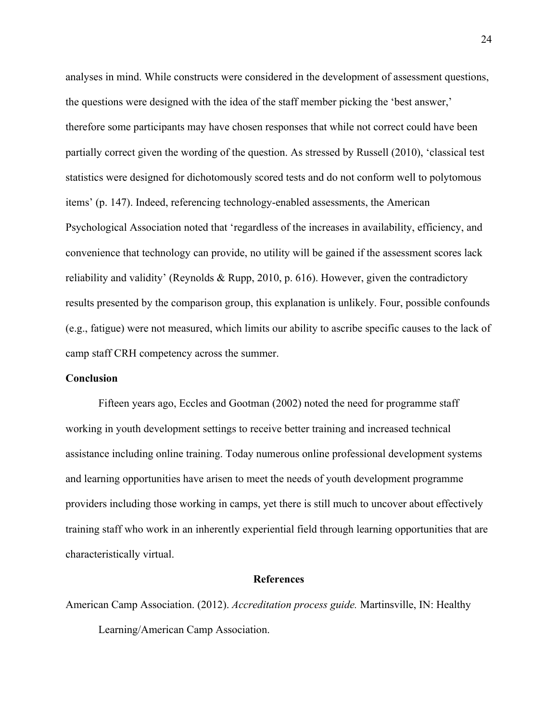analyses in mind. While constructs were considered in the development of assessment questions, the questions were designed with the idea of the staff member picking the 'best answer,' therefore some participants may have chosen responses that while not correct could have been partially correct given the wording of the question. As stressed by Russell (2010), 'classical test statistics were designed for dichotomously scored tests and do not conform well to polytomous items' (p. 147). Indeed, referencing technology-enabled assessments, the American Psychological Association noted that 'regardless of the increases in availability, efficiency, and convenience that technology can provide, no utility will be gained if the assessment scores lack reliability and validity' (Reynolds & Rupp, 2010, p. 616). However, given the contradictory results presented by the comparison group, this explanation is unlikely. Four, possible confounds (e.g., fatigue) were not measured, which limits our ability to ascribe specific causes to the lack of camp staff CRH competency across the summer.

#### **Conclusion**

Fifteen years ago, Eccles and Gootman (2002) noted the need for programme staff working in youth development settings to receive better training and increased technical assistance including online training. Today numerous online professional development systems and learning opportunities have arisen to meet the needs of youth development programme providers including those working in camps, yet there is still much to uncover about effectively training staff who work in an inherently experiential field through learning opportunities that are characteristically virtual.

#### **References**

American Camp Association. (2012). *Accreditation process guide.* Martinsville, IN: Healthy Learning/American Camp Association.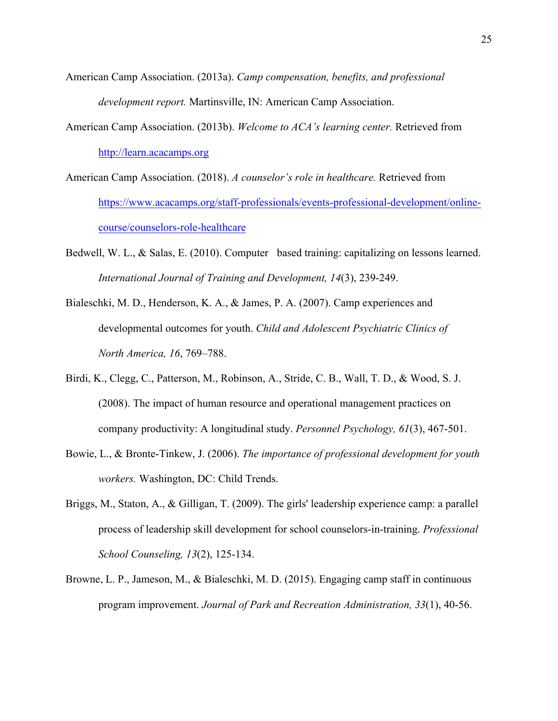- American Camp Association. (2013a). *Camp compensation, benefits, and professional development report.* Martinsville, IN: American Camp Association.
- American Camp Association. (2013b). *Welcome to ACA's learning center.* Retrieved from http://learn.acacamps.org
- American Camp Association. (2018). *A counselor's role in healthcare.* Retrieved from https://www.acacamps.org/staff-professionals/events-professional-development/onlinecourse/counselors-role-healthcare
- Bedwell, W. L.,  $\&$  Salas, E. (2010). Computer based training: capitalizing on lessons learned. *International Journal of Training and Development, 14*(3), 239-249.
- Bialeschki, M. D., Henderson, K. A., & James, P. A. (2007). Camp experiences and developmental outcomes for youth. *Child and Adolescent Psychiatric Clinics of North America, 16*, 769–788.
- Birdi, K., Clegg, C., Patterson, M., Robinson, A., Stride, C. B., Wall, T. D., & Wood, S. J. (2008). The impact of human resource and operational management practices on company productivity: A longitudinal study. *Personnel Psychology, 61*(3), 467-501.
- Bowie, L., & Bronte-Tinkew, J. (2006). *The importance of professional development for youth workers.* Washington, DC: Child Trends.
- Briggs, M., Staton, A., & Gilligan, T. (2009). The girls' leadership experience camp: a parallel process of leadership skill development for school counselors-in-training. *Professional School Counseling, 13*(2), 125-134.
- Browne, L. P., Jameson, M., & Bialeschki, M. D. (2015). Engaging camp staff in continuous program improvement. *Journal of Park and Recreation Administration, 33*(1), 40-56.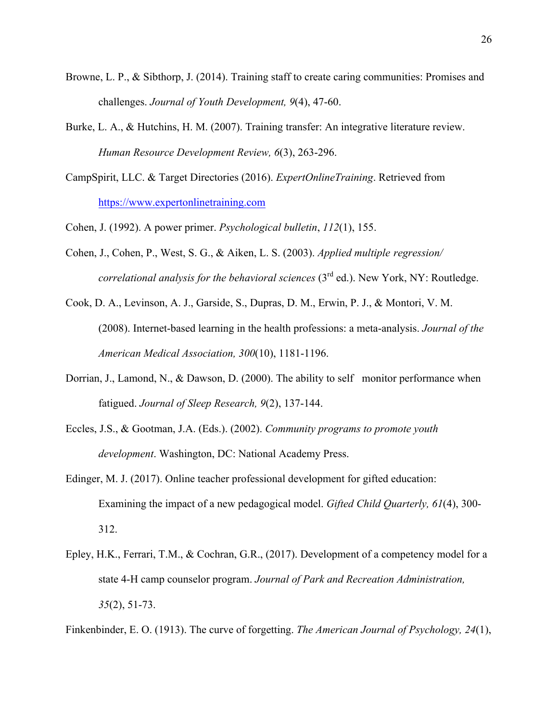- Browne, L. P., & Sibthorp, J. (2014). Training staff to create caring communities: Promises and challenges. *Journal of Youth Development, 9*(4), 47-60.
- Burke, L. A., & Hutchins, H. M. (2007). Training transfer: An integrative literature review. *Human Resource Development Review, 6*(3), 263-296.
- CampSpirit, LLC. & Target Directories (2016). *ExpertOnlineTraining*. Retrieved from https://www.expertonlinetraining.com
- Cohen, J. (1992). A power primer. *Psychological bulletin*, *112*(1), 155.
- Cohen, J., Cohen, P., West, S. G., & Aiken, L. S. (2003). *Applied multiple regression/ correlational analysis for the behavioral sciences* (3rd ed.). New York, NY: Routledge.
- Cook, D. A., Levinson, A. J., Garside, S., Dupras, D. M., Erwin, P. J., & Montori, V. M. (2008). Internet-based learning in the health professions: a meta-analysis. *Journal of the American Medical Association, 300*(10), 1181-1196.
- Dorrian, J., Lamond, N.,  $\&$  Dawson, D. (2000). The ability to self monitor performance when fatigued. *Journal of Sleep Research, 9*(2), 137-144.
- Eccles, J.S., & Gootman, J.A. (Eds.). (2002). *Community programs to promote youth development*. Washington, DC: National Academy Press.
- Edinger, M. J. (2017). Online teacher professional development for gifted education: Examining the impact of a new pedagogical model. *Gifted Child Quarterly, 61*(4), 300- 312.
- Epley, H.K., Ferrari, T.M., & Cochran, G.R., (2017). Development of a competency model for a state 4-H camp counselor program. *Journal of Park and Recreation Administration, 35*(2), 51-73.

Finkenbinder, E. O. (1913). The curve of forgetting. *The American Journal of Psychology, 24*(1),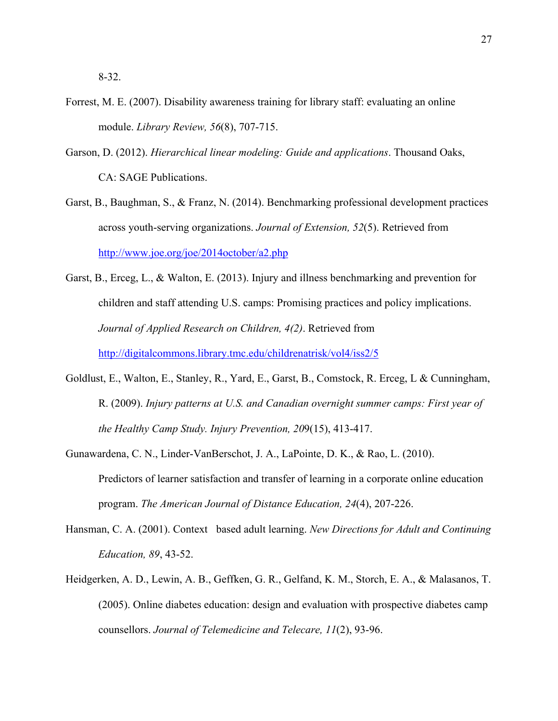- Forrest, M. E. (2007). Disability awareness training for library staff: evaluating an online module. *Library Review, 56*(8), 707-715.
- Garson, D. (2012). *Hierarchical linear modeling: Guide and applications*. Thousand Oaks, CA: SAGE Publications.
- Garst, B., Baughman, S., & Franz, N. (2014). Benchmarking professional development practices across youth-serving organizations. *Journal of Extension, 52*(5). Retrieved from http://www.joe.org/joe/2014october/a2.php
- Garst, B., Erceg, L., & Walton, E. (2013). Injury and illness benchmarking and prevention for children and staff attending U.S. camps: Promising practices and policy implications. *Journal of Applied Research on Children, 4(2)*. Retrieved from http://digitalcommons.library.tmc.edu/childrenatrisk/vol4/iss2/5
- Goldlust, E., Walton, E., Stanley, R., Yard, E., Garst, B., Comstock, R. Erceg, L & Cunningham, R. (2009). *Injury patterns at U.S. and Canadian overnight summer camps: First year of the Healthy Camp Study. Injury Prevention, 20*9(15), 413-417.
- Gunawardena, C. N., Linder-VanBerschot, J. A., LaPointe, D. K., & Rao, L. (2010). Predictors of learner satisfaction and transfer of learning in a corporate online education program. *The American Journal of Distance Education, 24*(4), 207-226.
- Hansman, C. A. (2001). Context based adult learning. *New Directions for Adult and Continuing Education, 89*, 43-52.
- Heidgerken, A. D., Lewin, A. B., Geffken, G. R., Gelfand, K. M., Storch, E. A., & Malasanos, T. (2005). Online diabetes education: design and evaluation with prospective diabetes camp counsellors. *Journal of Telemedicine and Telecare, 11*(2), 93-96.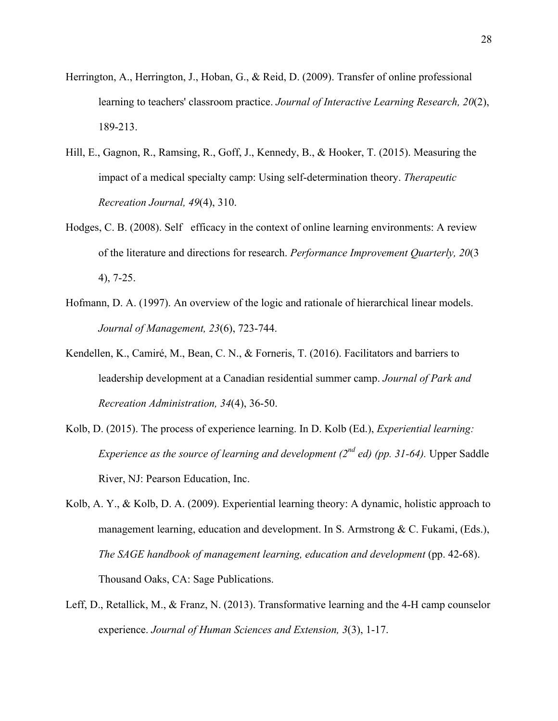- Herrington, A., Herrington, J., Hoban, G., & Reid, D. (2009). Transfer of online professional learning to teachers' classroom practice. *Journal of Interactive Learning Research, 20*(2), 189-213.
- Hill, E., Gagnon, R., Ramsing, R., Goff, J., Kennedy, B., & Hooker, T. (2015). Measuring the impact of a medical specialty camp: Using self-determination theory. *Therapeutic Recreation Journal, 49*(4), 310.
- Hodges, C. B. (2008). Selfetficacy in the context of online learning environments: A review of the literature and directions for research. *Performance Improvement Quarterly, 20*(3 4), 7-25.
- Hofmann, D. A. (1997). An overview of the logic and rationale of hierarchical linear models. *Journal of Management, 23*(6), 723-744.
- Kendellen, K., Camiré, M., Bean, C. N., & Forneris, T. (2016). Facilitators and barriers to leadership development at a Canadian residential summer camp. *Journal of Park and Recreation Administration, 34*(4), 36-50.
- Kolb, D. (2015). The process of experience learning. In D. Kolb (Ed.), *Experiential learning: Experience as the source of learning and development (2nd ed) (pp. 31-64).* Upper Saddle River, NJ: Pearson Education, Inc.
- Kolb, A. Y., & Kolb, D. A. (2009). Experiential learning theory: A dynamic, holistic approach to management learning, education and development. In S. Armstrong & C. Fukami, (Eds.), *The SAGE handbook of management learning, education and development* (pp. 42-68). Thousand Oaks, CA: Sage Publications.
- Leff, D., Retallick, M., & Franz, N. (2013). Transformative learning and the 4-H camp counselor experience. *Journal of Human Sciences and Extension, 3*(3), 1-17.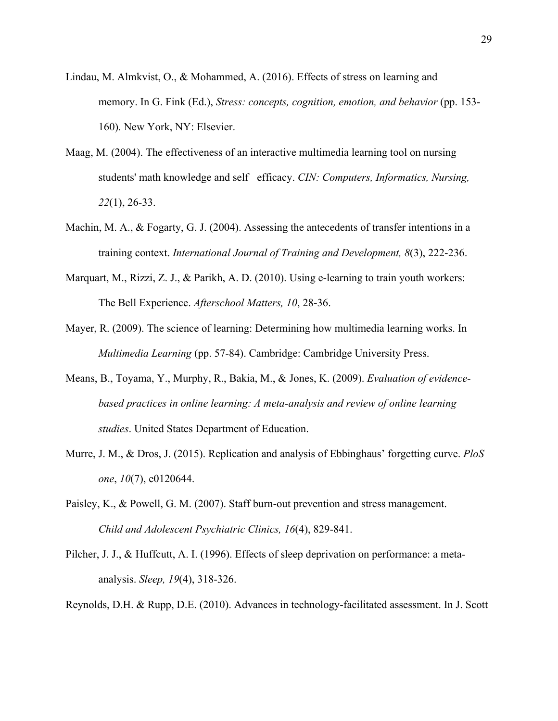- Lindau, M. Almkvist, O., & Mohammed, A. (2016). Effects of stress on learning and memory. In G. Fink (Ed.), *Stress: concepts, cognition, emotion, and behavior* (pp. 153- 160). New York, NY: Elsevier.
- Maag, M. (2004). The effectiveness of an interactive multimedia learning tool on nursing students' math knowledge and selfefficacy. *CIN: Computers, Informatics, Nursing, 22*(1), 26-33.
- Machin, M. A., & Fogarty, G. J. (2004). Assessing the antecedents of transfer intentions in a training context. *International Journal of Training and Development, 8*(3), 222-236.
- Marquart, M., Rizzi, Z. J., & Parikh, A. D. (2010). Using e-learning to train youth workers: The Bell Experience. *Afterschool Matters, 10*, 28-36.
- Mayer, R. (2009). The science of learning: Determining how multimedia learning works. In *Multimedia Learning* (pp. 57-84). Cambridge: Cambridge University Press.
- Means, B., Toyama, Y., Murphy, R., Bakia, M., & Jones, K. (2009). *Evaluation of evidencebased practices in online learning: A meta-analysis and review of online learning studies*. United States Department of Education.
- Murre, J. M., & Dros, J. (2015). Replication and analysis of Ebbinghaus' forgetting curve. *PloS one*, *10*(7), e0120644.
- Paisley, K., & Powell, G. M. (2007). Staff burn-out prevention and stress management. *Child and Adolescent Psychiatric Clinics, 16*(4), 829-841.
- Pilcher, J. J., & Huffcutt, A. I. (1996). Effects of sleep deprivation on performance: a metaanalysis. *Sleep, 19*(4), 318-326.
- Reynolds, D.H. & Rupp, D.E. (2010). Advances in technology-facilitated assessment. In J. Scott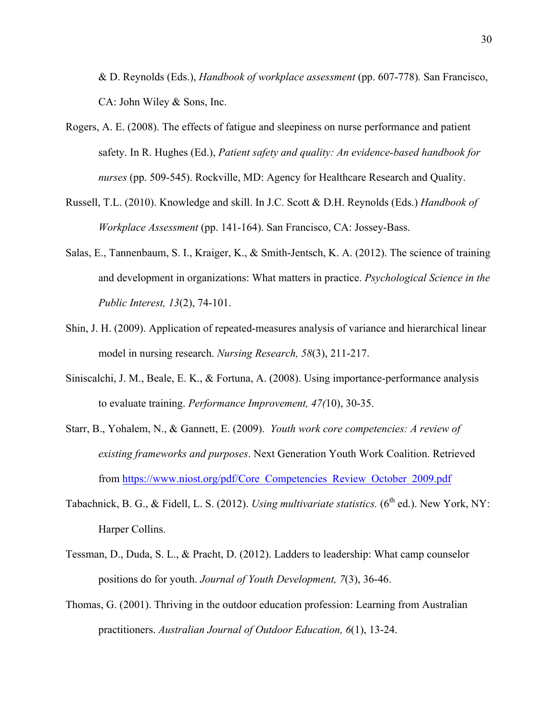& D. Reynolds (Eds.), *Handbook of workplace assessment* (pp. 607-778)*.* San Francisco, CA: John Wiley & Sons, Inc.

- Rogers, A. E. (2008). The effects of fatigue and sleepiness on nurse performance and patient safety. In R. Hughes (Ed.), *Patient safety and quality: An evidence-based handbook for nurses* (pp. 509-545). Rockville, MD: Agency for Healthcare Research and Quality.
- Russell, T.L. (2010). Knowledge and skill. In J.C. Scott & D.H. Reynolds (Eds.) *Handbook of Workplace Assessment* (pp. 141-164). San Francisco, CA: Jossey-Bass.
- Salas, E., Tannenbaum, S. I., Kraiger, K., & Smith-Jentsch, K. A. (2012). The science of training and development in organizations: What matters in practice. *Psychological Science in the Public Interest, 13*(2), 74-101.
- Shin, J. H. (2009). Application of repeated-measures analysis of variance and hierarchical linear model in nursing research. *Nursing Research, 58*(3), 211-217.
- Siniscalchi, J. M., Beale, E. K., & Fortuna, A. (2008). Using importance-performance analysis to evaluate training. *Performance Improvement, 47(*10), 30-35.
- Starr, B., Yohalem, N., & Gannett, E. (2009). *Youth work core competencies: A review of existing frameworks and purposes*. Next Generation Youth Work Coalition. Retrieved from https://www.niost.org/pdf/Core\_Competencies\_Review\_October\_2009.pdf
- Tabachnick, B. G., & Fidell, L. S. (2012). *Using multivariate statistics.* (6<sup>th</sup> ed.). New York, NY: Harper Collins.
- Tessman, D., Duda, S. L., & Pracht, D. (2012). Ladders to leadership: What camp counselor positions do for youth. *Journal of Youth Development, 7*(3), 36-46.
- Thomas, G. (2001). Thriving in the outdoor education profession: Learning from Australian practitioners. *Australian Journal of Outdoor Education, 6*(1), 13-24.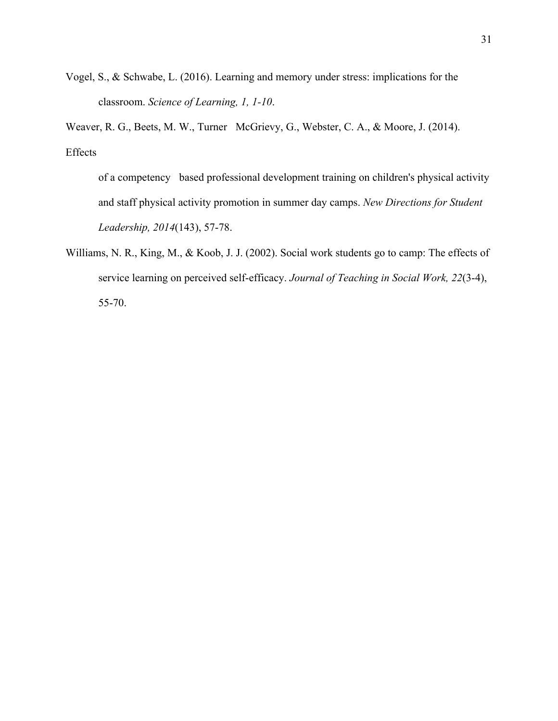Vogel, S., & Schwabe, L. (2016). Learning and memory under stress: implications for the classroom. *Science of Learning, 1, 1-10*.

Weaver, R. G., Beets, M. W., Turner McGrievy, G., Webster, C. A., & Moore, J. (2014). Effects

of a competency based professional development training on children's physical activity and staff physical activity promotion in summer day camps. *New Directions for Student Leadership, 2014*(143), 57-78.

Williams, N. R., King, M., & Koob, J. J. (2002). Social work students go to camp: The effects of service learning on perceived self-efficacy. *Journal of Teaching in Social Work, 22*(3-4), 55-70.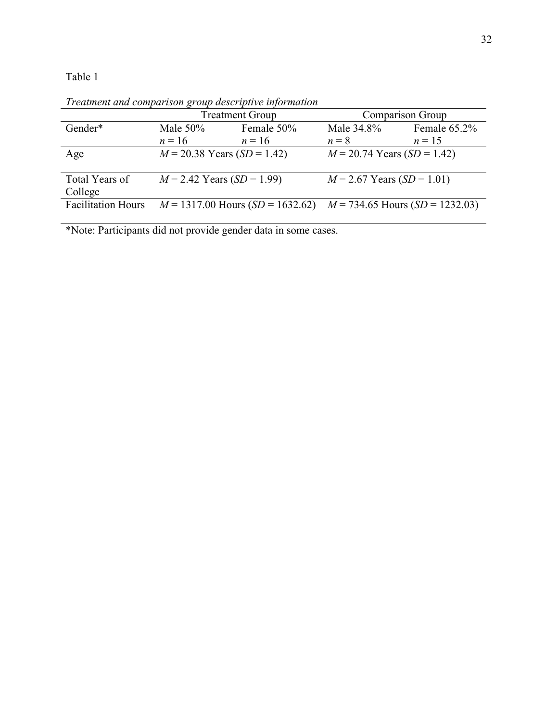Table 1

Treatment Group Comparison Group Gender\* Male 50%  $n = 16$ Female 50%  $n = 16$ Male 34.8%  $n = 8$   $n = 15$ <br>*M* = 20.74 Years (*SD* = 1.42) Female 65.2%  $n = 15$ Age *M* = 20.38 Years (*SD* = 1.42) *M* = 20.74 Years (*SD* = 1.42) Total Years of College<br>Facilitation Hours  $M = 2.42$  Years (*SD* = 1.99)  $M = 2.67$  Years (*SD* = 1.01)  $M = 1317.00$  Hours  $(SD = 1632.62)$   $M = 734.65$  Hours  $(SD = 1232.03)$ 

*Treatment and comparison group descriptive information* 

\*Note: Participants did not provide gender data in some cases.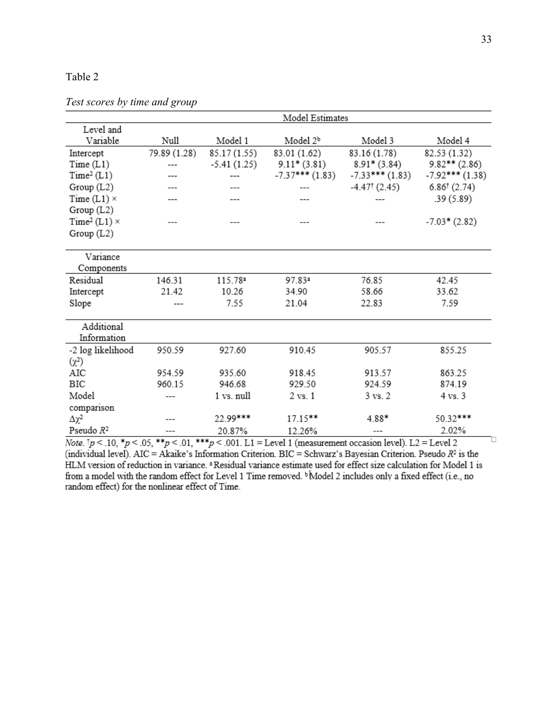# Table 2

*Test scores by time and group* 

|                                                                                                                                                      | Model Estimates |               |                      |                          |                         |
|------------------------------------------------------------------------------------------------------------------------------------------------------|-----------------|---------------|----------------------|--------------------------|-------------------------|
| Level and                                                                                                                                            |                 |               |                      |                          |                         |
| Variable                                                                                                                                             | Null            | Model 1       | Model 2 <sup>b</sup> | Model 3                  | Model 4                 |
| Intercept                                                                                                                                            | 79.89 (1.28)    | 85.17(1.55)   | 83.01 (1.62)         | 83.16 (1.78)             | 82.53 (1.32)            |
| Time(L1)                                                                                                                                             |                 | $-5.41(1.25)$ | $9.11*(3.81)$        | $8.91*(3.84)$            | $9.82**$ (2.86)         |
| Time <sup>2</sup> (L1)                                                                                                                               |                 |               | $-7.37***$ (1.83)    | $-7.33***$ (1.83)        | $-7.92***$ (1.38)       |
| Group (L2)                                                                                                                                           |                 |               |                      | $-4.47^{\dagger}$ (2.45) | $6.86^{\dagger}$ (2.74) |
| Time $(L1)$ $\times$                                                                                                                                 |                 |               |                      |                          | .39(5.89)               |
| Group(L2)                                                                                                                                            |                 |               |                      |                          |                         |
| Time <sup>2</sup> (L1) $\times$                                                                                                                      |                 |               |                      |                          | $-7.03*(2.82)$          |
| Group (L2)                                                                                                                                           |                 |               |                      |                          |                         |
|                                                                                                                                                      |                 |               |                      |                          |                         |
| Variance                                                                                                                                             |                 |               |                      |                          |                         |
| Components                                                                                                                                           |                 |               |                      |                          |                         |
| Residual                                                                                                                                             | 146.31          | 115.78ª       | 97.83ª               | 76.85                    | 42.45                   |
| Intercept                                                                                                                                            | 21.42           | 10.26         | 34.90                | 58.66                    | 33.62                   |
| Slope                                                                                                                                                |                 | 7.55          | 21.04                | 22.83                    | 7.59                    |
| Additional                                                                                                                                           |                 |               |                      |                          |                         |
| Information                                                                                                                                          |                 |               |                      |                          |                         |
| -2 log likelihood                                                                                                                                    | 950.59          | 927.60        | 910.45               | 905.57                   | 855.25                  |
| $(\chi^2)$                                                                                                                                           |                 |               |                      |                          |                         |
| AIC                                                                                                                                                  | 954.59          | 935.60        | 918.45               | 913.57                   | 863.25                  |
| BIC                                                                                                                                                  | 960.15          | 946.68        | 929.50               | 924.59                   | 874.19                  |
| Model                                                                                                                                                |                 | 1 vs. null    | 2 vs. 1              | $3 \text{ vs. } 2$       | 4 vs. 3                 |
| comparison                                                                                                                                           |                 |               |                      |                          |                         |
| Δχ²                                                                                                                                                  |                 | 22.99***      | 17.15**              | 4.88*                    | 50.32***                |
| Pseudo $R^2$                                                                                                                                         |                 | 20.87%        | 12.26%               |                          | 2.02%                   |
| Mote $\ln \epsilon$ , 10, $\frac{8n}{5}$ , 05, $\frac{88n}{5}$ , 01, $\frac{888n}{5}$ , 001, 11 – Lavel 1 (measurement casesian level), 12 – Lavel 2 |                 |               |                      |                          |                         |

Note.  $1p < 0.10$ , \*p < 0.05, \*\*p < 0.01, \*\*\*p < 0.01. L1 = Level 1 (measurement occasion level). L2 = Level 2 (individual level). AIC = Akaike's Information Criterion. BIC = Schwarz's Bayesian Criterion. Pseudo  $R^2$  is the HLM version of reduction in variance. <sup>a</sup> Residual variance estimate used for effect size calculation for Model 1 is from a model with the random effect for Level 1 Time removed. <sup>b</sup>Model 2 includes only a fixed effect (i.e., no random effect) for the nonlinear effect of Time.